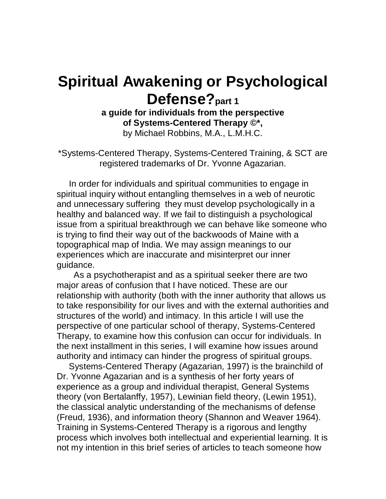# **Spiritual Awakening or Psychological Defense?part 1**

**a guide for individuals from the perspective of Systems-Centered Therapy ©\*,** by Michael Robbins, M.A., L.M.H.C.

\*Systems-Centered Therapy, Systems-Centered Training, & SCT are registered trademarks of Dr. Yvonne Agazarian.

 In order for individuals and spiritual communities to engage in spiritual inquiry without entangling themselves in a web of neurotic and unnecessary suffering they must develop psychologically in a healthy and balanced way. If we fail to distinguish a psychological issue from a spiritual breakthrough we can behave like someone who is trying to find their way out of the backwoods of Maine with a topographical map of India. We may assign meanings to our experiences which are inaccurate and misinterpret our inner guidance.

 As a psychotherapist and as a spiritual seeker there are two major areas of confusion that I have noticed. These are our relationship with authority (both with the inner authority that allows us to take responsibility for our lives and with the external authorities and structures of the world) and intimacy. In this article I will use the perspective of one particular school of therapy, Systems-Centered Therapy, to examine how this confusion can occur for individuals. In the next installment in this series, I will examine how issues around authority and intimacy can hinder the progress of spiritual groups.

 Systems-Centered Therapy (Agazarian, 1997) is the brainchild of Dr. Yvonne Agazarian and is a synthesis of her forty years of experience as a group and individual therapist, General Systems theory (von Bertalanffy, 1957), Lewinian field theory, (Lewin 1951), the classical analytic understanding of the mechanisms of defense (Freud, 1936), and information theory (Shannon and Weaver 1964). Training in Systems-Centered Therapy is a rigorous and lengthy process which involves both intellectual and experiential learning. It is not my intention in this brief series of articles to teach someone how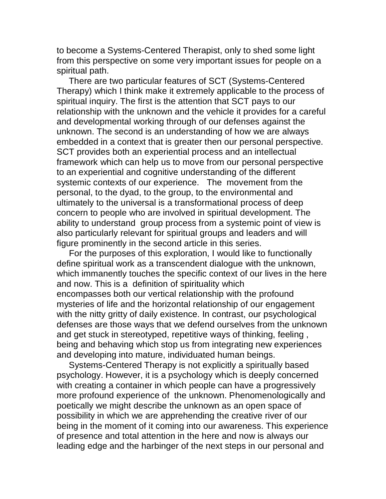to become a Systems-Centered Therapist, only to shed some light from this perspective on some very important issues for people on a spiritual path.

 There are two particular features of SCT (Systems-Centered Therapy) which I think make it extremely applicable to the process of spiritual inquiry. The first is the attention that SCT pays to our relationship with the unknown and the vehicle it provides for a careful and developmental working through of our defenses against the unknown. The second is an understanding of how we are always embedded in a context that is greater then our personal perspective. SCT provides both an experiential process and an intellectual framework which can help us to move from our personal perspective to an experiential and cognitive understanding of the different systemic contexts of our experience. The movement from the personal, to the dyad, to the group, to the environmental and ultimately to the universal is a transformational process of deep concern to people who are involved in spiritual development. The ability to understand group process from a systemic point of view is also particularly relevant for spiritual groups and leaders and will figure prominently in the second article in this series.

 For the purposes of this exploration, I would like to functionally define spiritual work as a transcendent dialogue with the unknown, which immanently touches the specific context of our lives in the here and now. This is a definition of spirituality which encompasses both our vertical relationship with the profound mysteries of life and the horizontal relationship of our engagement with the nitty gritty of daily existence. In contrast, our psychological defenses are those ways that we defend ourselves from the unknown and get stuck in stereotyped, repetitive ways of thinking, feeling , being and behaving which stop us from integrating new experiences and developing into mature, individuated human beings.

 Systems-Centered Therapy is not explicitly a spiritually based psychology. However, it is a psychology which is deeply concerned with creating a container in which people can have a progressively more profound experience of the unknown. Phenomenologically and poetically we might describe the unknown as an open space of possibility in which we are apprehending the creative river of our being in the moment of it coming into our awareness. This experience of presence and total attention in the here and now is always our leading edge and the harbinger of the next steps in our personal and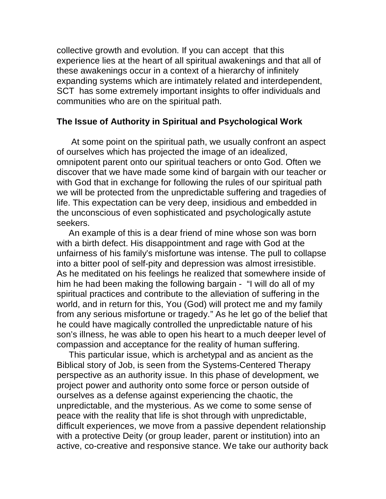collective growth and evolution. If you can accept that this experience lies at the heart of all spiritual awakenings and that all of these awakenings occur in a context of a hierarchy of infinitely expanding systems which are intimately related and interdependent, SCT has some extremely important insights to offer individuals and communities who are on the spiritual path.

### **The Issue of Authority in Spiritual and Psychological Work**

 At some point on the spiritual path, we usually confront an aspect of ourselves which has projected the image of an idealized, omnipotent parent onto our spiritual teachers or onto God. Often we discover that we have made some kind of bargain with our teacher or with God that in exchange for following the rules of our spiritual path we will be protected from the unpredictable suffering and tragedies of life. This expectation can be very deep, insidious and embedded in the unconscious of even sophisticated and psychologically astute seekers.

 An example of this is a dear friend of mine whose son was born with a birth defect. His disappointment and rage with God at the unfairness of his family's misfortune was intense. The pull to collapse into a bitter pool of self-pity and depression was almost irresistible. As he meditated on his feelings he realized that somewhere inside of him he had been making the following bargain - "I will do all of my spiritual practices and contribute to the alleviation of suffering in the world, and in return for this, You (God) will protect me and my family from any serious misfortune or tragedy." As he let go of the belief that he could have magically controlled the unpredictable nature of his son's illness, he was able to open his heart to a much deeper level of compassion and acceptance for the reality of human suffering.

 This particular issue, which is archetypal and as ancient as the Biblical story of Job, is seen from the Systems-Centered Therapy perspective as an authority issue. In this phase of development, we project power and authority onto some force or person outside of ourselves as a defense against experiencing the chaotic, the unpredictable, and the mysterious. As we come to some sense of peace with the reality that life is shot through with unpredictable, difficult experiences, we move from a passive dependent relationship with a protective Deity (or group leader, parent or institution) into an active, co-creative and responsive stance. We take our authority back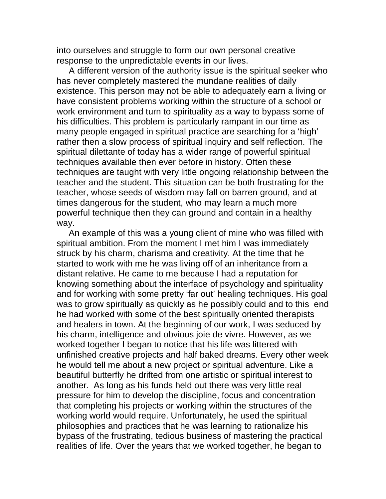into ourselves and struggle to form our own personal creative response to the unpredictable events in our lives.

 A different version of the authority issue is the spiritual seeker who has never completely mastered the mundane realities of daily existence. This person may not be able to adequately earn a living or have consistent problems working within the structure of a school or work environment and turn to spirituality as a way to bypass some of his difficulties. This problem is particularly rampant in our time as many people engaged in spiritual practice are searching for a 'high' rather then a slow process of spiritual inquiry and self reflection. The spiritual dilettante of today has a wider range of powerful spiritual techniques available then ever before in history. Often these techniques are taught with very little ongoing relationship between the teacher and the student. This situation can be both frustrating for the teacher, whose seeds of wisdom may fall on barren ground, and at times dangerous for the student, who may learn a much more powerful technique then they can ground and contain in a healthy way.

 An example of this was a young client of mine who was filled with spiritual ambition. From the moment I met him I was immediately struck by his charm, charisma and creativity. At the time that he started to work with me he was living off of an inheritance from a distant relative. He came to me because I had a reputation for knowing something about the interface of psychology and spirituality and for working with some pretty 'far out' healing techniques. His goal was to grow spiritually as quickly as he possibly could and to this end he had worked with some of the best spiritually oriented therapists and healers in town. At the beginning of our work, I was seduced by his charm, intelligence and obvious joie de vivre. However, as we worked together I began to notice that his life was littered with unfinished creative projects and half baked dreams. Every other week he would tell me about a new project or spiritual adventure. Like a beautiful butterfly he drifted from one artistic or spiritual interest to another. As long as his funds held out there was very little real pressure for him to develop the discipline, focus and concentration that completing his projects or working within the structures of the working world would require. Unfortunately, he used the spiritual philosophies and practices that he was learning to rationalize his bypass of the frustrating, tedious business of mastering the practical realities of life. Over the years that we worked together, he began to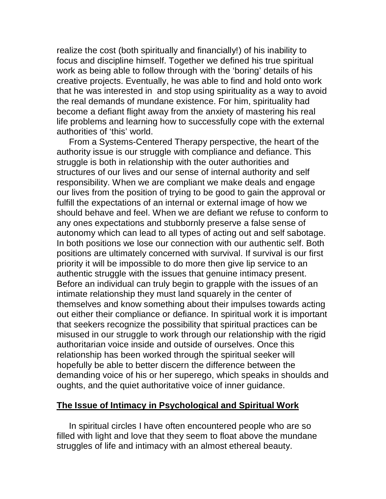realize the cost (both spiritually and financially!) of his inability to focus and discipline himself. Together we defined his true spiritual work as being able to follow through with the 'boring' details of his creative projects. Eventually, he was able to find and hold onto work that he was interested in and stop using spirituality as a way to avoid the real demands of mundane existence. For him, spirituality had become a defiant flight away from the anxiety of mastering his real life problems and learning how to successfully cope with the external authorities of 'this' world.

 From a Systems-Centered Therapy perspective, the heart of the authority issue is our struggle with compliance and defiance. This struggle is both in relationship with the outer authorities and structures of our lives and our sense of internal authority and self responsibility. When we are compliant we make deals and engage our lives from the position of trying to be good to gain the approval or fulfill the expectations of an internal or external image of how we should behave and feel. When we are defiant we refuse to conform to any ones expectations and stubbornly preserve a false sense of autonomy which can lead to all types of acting out and self sabotage. In both positions we lose our connection with our authentic self. Both positions are ultimately concerned with survival. If survival is our first priority it will be impossible to do more then give lip service to an authentic struggle with the issues that genuine intimacy present. Before an individual can truly begin to grapple with the issues of an intimate relationship they must land squarely in the center of themselves and know something about their impulses towards acting out either their compliance or defiance. In spiritual work it is important that seekers recognize the possibility that spiritual practices can be misused in our struggle to work through our relationship with the rigid authoritarian voice inside and outside of ourselves. Once this relationship has been worked through the spiritual seeker will hopefully be able to better discern the difference between the demanding voice of his or her superego, which speaks in shoulds and oughts, and the quiet authoritative voice of inner guidance.

#### **The Issue of Intimacy in Psychological and Spiritual Work**

 In spiritual circles I have often encountered people who are so filled with light and love that they seem to float above the mundane struggles of life and intimacy with an almost ethereal beauty.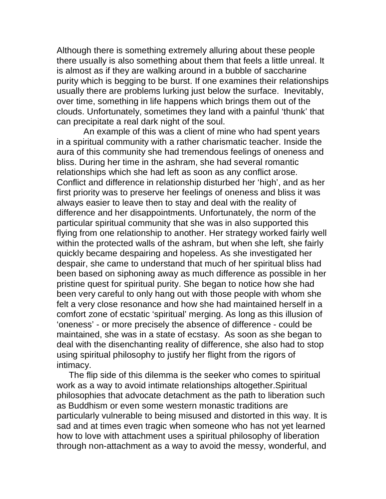Although there is something extremely alluring about these people there usually is also something about them that feels a little unreal. It is almost as if they are walking around in a bubble of saccharine purity which is begging to be burst. If one examines their relationships usually there are problems lurking just below the surface. Inevitably, over time, something in life happens which brings them out of the clouds. Unfortunately, sometimes they land with a painful 'thunk' that can precipitate a real dark night of the soul.

 An example of this was a client of mine who had spent years in a spiritual community with a rather charismatic teacher. Inside the aura of this community she had tremendous feelings of oneness and bliss. During her time in the ashram, she had several romantic relationships which she had left as soon as any conflict arose. Conflict and difference in relationship disturbed her 'high', and as her first priority was to preserve her feelings of oneness and bliss it was always easier to leave then to stay and deal with the reality of difference and her disappointments. Unfortunately, the norm of the particular spiritual community that she was in also supported this flying from one relationship to another. Her strategy worked fairly well within the protected walls of the ashram, but when she left, she fairly quickly became despairing and hopeless. As she investigated her despair, she came to understand that much of her spiritual bliss had been based on siphoning away as much difference as possible in her pristine quest for spiritual purity. She began to notice how she had been very careful to only hang out with those people with whom she felt a very close resonance and how she had maintained herself in a comfort zone of ecstatic 'spiritual' merging. As long as this illusion of 'oneness' - or more precisely the absence of difference - could be maintained, she was in a state of ecstasy. As soon as she began to deal with the disenchanting reality of difference, she also had to stop using spiritual philosophy to justify her flight from the rigors of intimacy.

 The flip side of this dilemma is the seeker who comes to spiritual work as a way to avoid intimate relationships altogether.Spiritual philosophies that advocate detachment as the path to liberation such as Buddhism or even some western monastic traditions are particularly vulnerable to being misused and distorted in this way. It is sad and at times even tragic when someone who has not yet learned how to love with attachment uses a spiritual philosophy of liberation through non-attachment as a way to avoid the messy, wonderful, and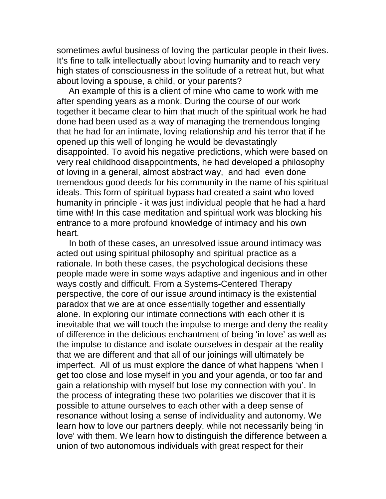sometimes awful business of loving the particular people in their lives. It's fine to talk intellectually about loving humanity and to reach very high states of consciousness in the solitude of a retreat hut, but what about loving a spouse, a child, or your parents?

 An example of this is a client of mine who came to work with me after spending years as a monk. During the course of our work together it became clear to him that much of the spiritual work he had done had been used as a way of managing the tremendous longing that he had for an intimate, loving relationship and his terror that if he opened up this well of longing he would be devastatingly disappointed. To avoid his negative predictions, which were based on very real childhood disappointments, he had developed a philosophy of loving in a general, almost abstract way, and had even done tremendous good deeds for his community in the name of his spiritual ideals. This form of spiritual bypass had created a saint who loved humanity in principle - it was just individual people that he had a hard time with! In this case meditation and spiritual work was blocking his entrance to a more profound knowledge of intimacy and his own heart.

 In both of these cases, an unresolved issue around intimacy was acted out using spiritual philosophy and spiritual practice as a rationale. In both these cases, the psychological decisions these people made were in some ways adaptive and ingenious and in other ways costly and difficult. From a Systems-Centered Therapy perspective, the core of our issue around intimacy is the existential paradox that we are at once essentially together and essentially alone. In exploring our intimate connections with each other it is inevitable that we will touch the impulse to merge and deny the reality of difference in the delicious enchantment of being 'in love' as well as the impulse to distance and isolate ourselves in despair at the reality that we are different and that all of our joinings will ultimately be imperfect. All of us must explore the dance of what happens 'when I get too close and lose myself in you and your agenda, or too far and gain a relationship with myself but lose my connection with you'. In the process of integrating these two polarities we discover that it is possible to attune ourselves to each other with a deep sense of resonance without losing a sense of individuality and autonomy. We learn how to love our partners deeply, while not necessarily being 'in love' with them. We learn how to distinguish the difference between a union of two autonomous individuals with great respect for their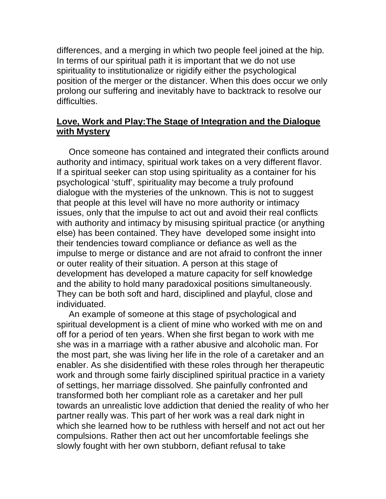differences, and a merging in which two people feel joined at the hip. In terms of our spiritual path it is important that we do not use spirituality to institutionalize or rigidify either the psychological position of the merger or the distancer. When this does occur we only prolong our suffering and inevitably have to backtrack to resolve our difficulties.

## **Love, Work and Play:The Stage of Integration and the Dialogue with Mystery**

 Once someone has contained and integrated their conflicts around authority and intimacy, spiritual work takes on a very different flavor. If a spiritual seeker can stop using spirituality as a container for his psychological 'stuff', spirituality may become a truly profound dialogue with the mysteries of the unknown. This is not to suggest that people at this level will have no more authority or intimacy issues, only that the impulse to act out and avoid their real conflicts with authority and intimacy by misusing spiritual practice (or anything else) has been contained. They have developed some insight into their tendencies toward compliance or defiance as well as the impulse to merge or distance and are not afraid to confront the inner or outer reality of their situation. A person at this stage of development has developed a mature capacity for self knowledge and the ability to hold many paradoxical positions simultaneously. They can be both soft and hard, disciplined and playful, close and individuated.

 An example of someone at this stage of psychological and spiritual development is a client of mine who worked with me on and off for a period of ten years. When she first began to work with me she was in a marriage with a rather abusive and alcoholic man. For the most part, she was living her life in the role of a caretaker and an enabler. As she disidentified with these roles through her therapeutic work and through some fairly disciplined spiritual practice in a variety of settings, her marriage dissolved. She painfully confronted and transformed both her compliant role as a caretaker and her pull towards an unrealistic love addiction that denied the reality of who her partner really was. This part of her work was a real dark night in which she learned how to be ruthless with herself and not act out her compulsions. Rather then act out her uncomfortable feelings she slowly fought with her own stubborn, defiant refusal to take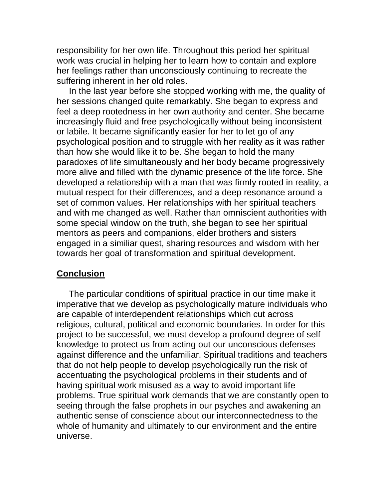responsibility for her own life. Throughout this period her spiritual work was crucial in helping her to learn how to contain and explore her feelings rather than unconsciously continuing to recreate the suffering inherent in her old roles.

 In the last year before she stopped working with me, the quality of her sessions changed quite remarkably. She began to express and feel a deep rootedness in her own authority and center. She became increasingly fluid and free psychologically without being inconsistent or labile. It became significantly easier for her to let go of any psychological position and to struggle with her reality as it was rather than how she would like it to be. She began to hold the many paradoxes of life simultaneously and her body became progressively more alive and filled with the dynamic presence of the life force. She developed a relationship with a man that was firmly rooted in reality, a mutual respect for their differences, and a deep resonance around a set of common values. Her relationships with her spiritual teachers and with me changed as well. Rather than omniscient authorities with some special window on the truth, she began to see her spiritual mentors as peers and companions, elder brothers and sisters engaged in a similiar quest, sharing resources and wisdom with her towards her goal of transformation and spiritual development.

#### **Conclusion**

 The particular conditions of spiritual practice in our time make it imperative that we develop as psychologically mature individuals who are capable of interdependent relationships which cut across religious, cultural, political and economic boundaries. In order for this project to be successful, we must develop a profound degree of self knowledge to protect us from acting out our unconscious defenses against difference and the unfamiliar. Spiritual traditions and teachers that do not help people to develop psychologically run the risk of accentuating the psychological problems in their students and of having spiritual work misused as a way to avoid important life problems. True spiritual work demands that we are constantly open to seeing through the false prophets in our psyches and awakening an authentic sense of conscience about our interconnectedness to the whole of humanity and ultimately to our environment and the entire universe.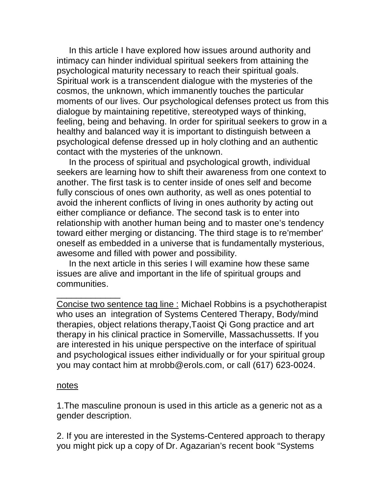In this article I have explored how issues around authority and intimacy can hinder individual spiritual seekers from attaining the psychological maturity necessary to reach their spiritual goals. Spiritual work is a transcendent dialogue with the mysteries of the cosmos, the unknown, which immanently touches the particular moments of our lives. Our psychological defenses protect us from this dialogue by maintaining repetitive, stereotyped ways of thinking, feeling, being and behaving. In order for spiritual seekers to grow in a healthy and balanced way it is important to distinguish between a psychological defense dressed up in holy clothing and an authentic contact with the mysteries of the unknown.

 In the process of spiritual and psychological growth, individual seekers are learning how to shift their awareness from one context to another. The first task is to center inside of ones self and become fully conscious of ones own authority, as well as ones potential to avoid the inherent conflicts of living in ones authority by acting out either compliance or defiance. The second task is to enter into relationship with another human being and to master one's tendency toward either merging or distancing. The third stage is to re'member' oneself as embedded in a universe that is fundamentally mysterious, awesome and filled with power and possibility.

 In the next article in this series I will examine how these same issues are alive and important in the life of spiritual groups and communities.

Concise two sentence tag line : Michael Robbins is a psychotherapist who uses an integration of Systems Centered Therapy, Body/mind therapies, object relations therapy,Taoist Qi Gong practice and art therapy in his clinical practice in Somerville, Massachussetts. If you are interested in his unique perspective on the interface of spiritual and psychological issues either individually or for your spiritual group you may contact him at mrobb@erols.com, or call (617) 623-0024.

#### notes

\_\_\_\_\_\_\_\_\_\_\_\_\_

1.The masculine pronoun is used in this article as a generic not as a gender description.

2. If you are interested in the Systems-Centered approach to therapy you might pick up a copy of Dr. Agazarian's recent book "Systems